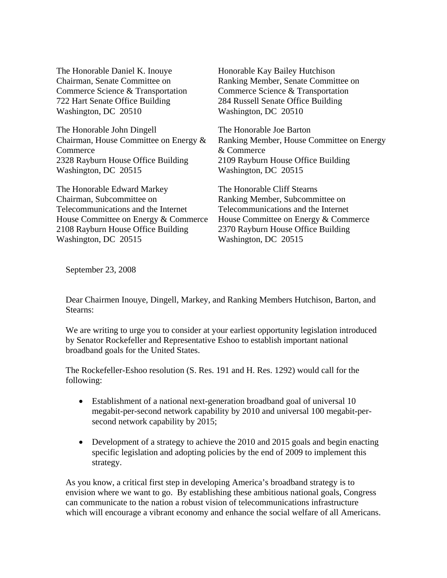The Honorable Daniel K. Inouye Chairman, Senate Committee on Commerce Science & Transportation 722 Hart Senate Office Building Washington, DC 20510

The Honorable John Dingell Chairman, House Committee on Energy & **Commerce** 2328 Rayburn House Office Building Washington, DC 20515

The Honorable Edward Markey Chairman, Subcommittee on Telecommunications and the Internet House Committee on Energy & Commerce 2108 Rayburn House Office Building Washington, DC 20515

Honorable Kay Bailey Hutchison Ranking Member, Senate Committee on Commerce Science & Transportation 284 Russell Senate Office Building Washington, DC 20510

The Honorable Joe Barton Ranking Member, House Committee on Energy & Commerce 2109 Rayburn House Office Building Washington, DC 20515

The Honorable Cliff Stearns Ranking Member, Subcommittee on Telecommunications and the Internet House Committee on Energy & Commerce 2370 Rayburn House Office Building Washington, DC 20515

September 23, 2008

Dear Chairmen Inouye, Dingell, Markey, and Ranking Members Hutchison, Barton, and Stearns:

We are writing to urge you to consider at your earliest opportunity legislation introduced by Senator Rockefeller and Representative Eshoo to establish important national broadband goals for the United States.

The Rockefeller-Eshoo resolution (S. Res. 191 and H. Res. 1292) would call for the following:

- Establishment of a national next-generation broadband goal of universal 10 megabit-per-second network capability by 2010 and universal 100 megabit-persecond network capability by 2015;
- Development of a strategy to achieve the 2010 and 2015 goals and begin enacting specific legislation and adopting policies by the end of 2009 to implement this strategy.

As you know, a critical first step in developing America's broadband strategy is to envision where we want to go. By establishing these ambitious national goals, Congress can communicate to the nation a robust vision of telecommunications infrastructure which will encourage a vibrant economy and enhance the social welfare of all Americans.